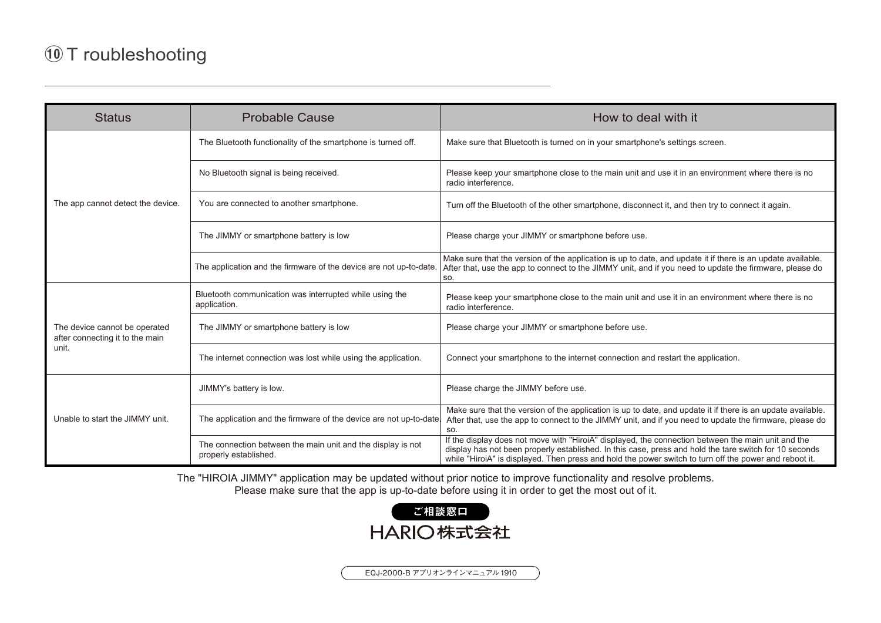## ⑩ <sup>T</sup> roubleshooting

| <b>Status</b>                                                             | <b>Probable Cause</b>                                                                | How to deal with it                                                                                                                                                                                                                                                                                                    |  |  |  |  |  |
|---------------------------------------------------------------------------|--------------------------------------------------------------------------------------|------------------------------------------------------------------------------------------------------------------------------------------------------------------------------------------------------------------------------------------------------------------------------------------------------------------------|--|--|--|--|--|
| The app cannot detect the device.                                         | The Bluetooth functionality of the smartphone is turned off.                         | Make sure that Bluetooth is turned on in your smartphone's settings screen.                                                                                                                                                                                                                                            |  |  |  |  |  |
|                                                                           | No Bluetooth signal is being received.                                               | Please keep your smartphone close to the main unit and use it in an environment where there is no<br>radio interference.                                                                                                                                                                                               |  |  |  |  |  |
|                                                                           | You are connected to another smartphone.                                             | Turn off the Bluetooth of the other smartphone, disconnect it, and then try to connect it again.                                                                                                                                                                                                                       |  |  |  |  |  |
|                                                                           | The JIMMY or smartphone battery is low                                               | Please charge your JIMMY or smartphone before use.                                                                                                                                                                                                                                                                     |  |  |  |  |  |
|                                                                           | The application and the firmware of the device are not up-to-date.                   | Make sure that the version of the application is up to date, and update it if there is an update available.<br>After that, use the app to connect to the JIMMY unit, and if you need to update the firmware, please do<br>SO.                                                                                          |  |  |  |  |  |
|                                                                           | Bluetooth communication was interrupted while using the<br>application.              | Please keep your smartphone close to the main unit and use it in an environment where there is no<br>radio interference.                                                                                                                                                                                               |  |  |  |  |  |
| The device cannot be operated<br>after connecting it to the main<br>unit. | The JIMMY or smartphone battery is low                                               | Please charge your JIMMY or smartphone before use.                                                                                                                                                                                                                                                                     |  |  |  |  |  |
|                                                                           | The internet connection was lost while using the application.                        | Connect your smartphone to the internet connection and restart the application.                                                                                                                                                                                                                                        |  |  |  |  |  |
| Unable to start the JIMMY unit.                                           | JIMMY's battery is low.                                                              | Please charge the JIMMY before use.                                                                                                                                                                                                                                                                                    |  |  |  |  |  |
|                                                                           | The application and the firmware of the device are not up-to-date.                   | Make sure that the version of the application is up to date, and update it if there is an update available.<br>After that, use the app to connect to the JIMMY unit, and if you need to update the firmware, please do<br>SO.                                                                                          |  |  |  |  |  |
|                                                                           | The connection between the main unit and the display is not<br>properly established. | If the display does not move with "HiroiA" displayed, the connection between the main unit and the<br>display has not been properly established. In this case, press and hold the tare switch for 10 seconds<br>while "HiroiA" is displayed. Then press and hold the power switch to turn off the power and reboot it. |  |  |  |  |  |

The "HIROIA JIMMY" application may be updated without prior notice to improve functionality and resolve problems.Please make sure that the app is up-to-date before using it in order to get the most out of it.